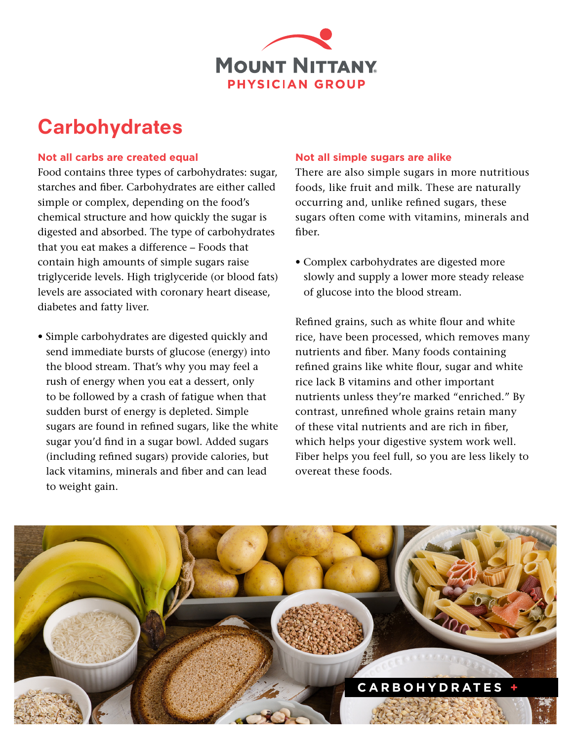

## **Carbohydrates**

## **Not all carbs are created equal**

Food contains three types of carbohydrates: sugar, starches and fiber. Carbohydrates are either called simple or complex, depending on the food's chemical structure and how quickly the sugar is digested and absorbed. The type of carbohydrates that you eat makes a difference – Foods that contain high amounts of simple sugars raise triglyceride levels. High triglyceride (or blood fats) levels are associated with coronary heart disease, diabetes and fatty liver.

• Simple carbohydrates are digested quickly and send immediate bursts of glucose (energy) into the blood stream. That's why you may feel a rush of energy when you eat a dessert, only to be followed by a crash of fatigue when that sudden burst of energy is depleted. Simple sugars are found in refined sugars, like the white sugar you'd find in a sugar bowl. Added sugars (including refined sugars) provide calories, but lack vitamins, minerals and fiber and can lead to weight gain.

## **Not all simple sugars are alike**

There are also simple sugars in more nutritious foods, like fruit and milk. These are naturally occurring and, unlike refined sugars, these sugars often come with vitamins, minerals and fiber.

• Complex carbohydrates are digested more slowly and supply a lower more steady release of glucose into the blood stream.

Refined grains, such as white flour and white rice, have been processed, which removes many nutrients and fiber. Many foods containing refined grains like white flour, sugar and white rice lack B vitamins and other important nutrients unless they're marked "enriched." By contrast, unrefined whole grains retain many of these vital nutrients and are rich in fiber, which helps your digestive system work well. Fiber helps you feel full, so you are less likely to overeat these foods.